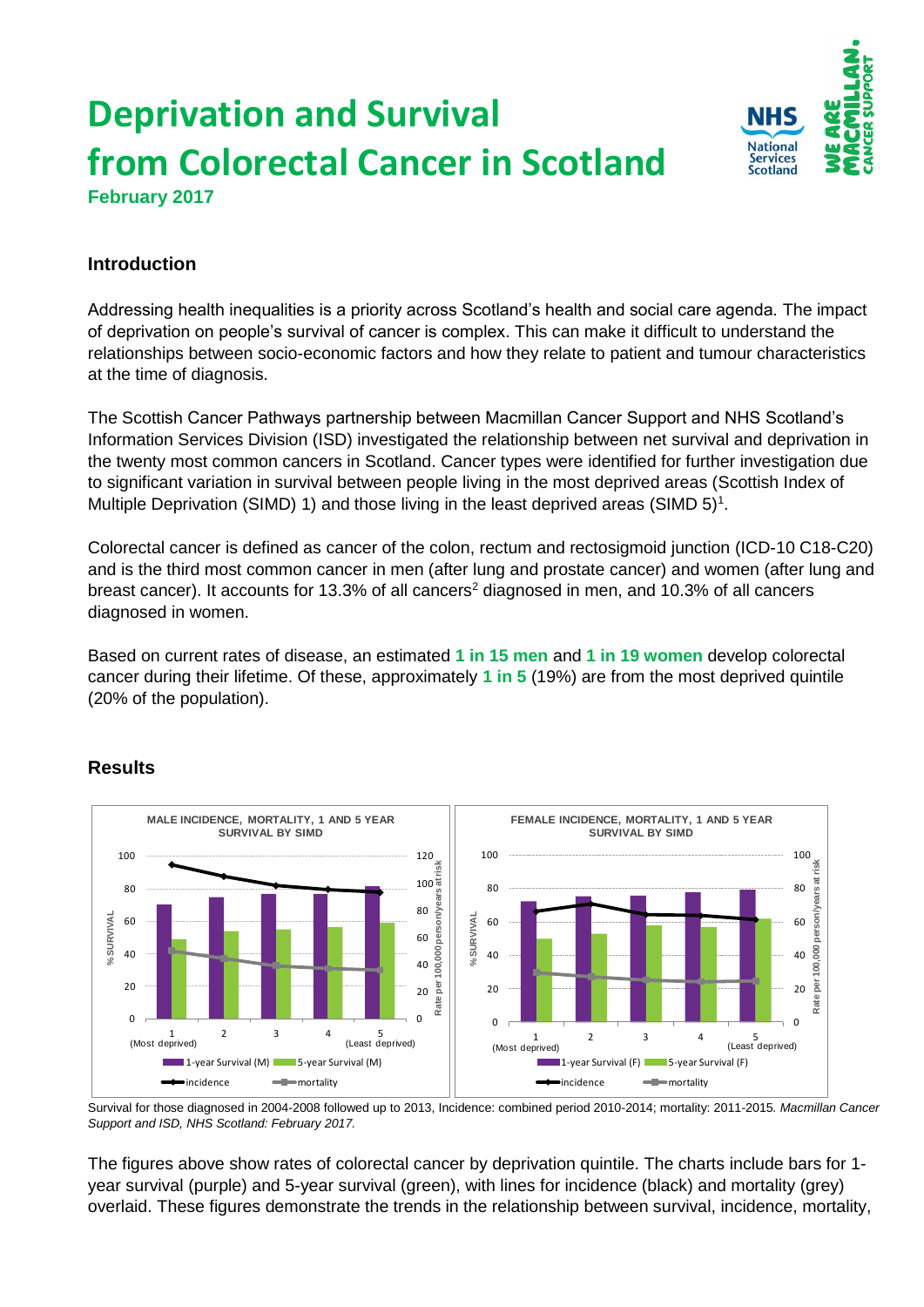# **Deprivation and Survival from Colorectal Cancer in Scotland February 2017**



## **Introduction**

Addressing health inequalities is a priority across Scotland's health and social care agenda. The impact of deprivation on people's survival of cancer is complex. This can make it difficult to understand the relationships between socio-economic factors and how they relate to patient and tumour characteristics at the time of diagnosis.

The Scottish Cancer Pathways partnership between Macmillan Cancer Support and NHS Scotland's Information Services Division (ISD) investigated the relationship between net survival and deprivation in the twenty most common cancers in Scotland. Cancer types were identified for further investigation due to significant variation in survival between people living in the most deprived areas (Scottish Index of Multiple Deprivation (SIMD) 1) and those living in the least deprived areas (SIMD  $5$ <sup>1</sup>.

Colorectal cancer is defined as cancer of the colon, rectum and rectosigmoid junction (ICD-10 C18-C20) and is the third most common cancer in men (after lung and prostate cancer) and women (after lung and breast cancer). It accounts for 13.3% of all cancers<sup>2</sup> diagnosed in men, and 10.3% of all cancers diagnosed in women.

Based on current rates of disease, an estimated **1 in 15 men** and **1 in 19 women** develop colorectal cancer during their lifetime. Of these, approximately **1 in 5** (19%) are from the most deprived quintile (20% of the population).

### **Results**



Survival for those diagnosed in 2004-2008 followed up to 2013, Incidence: combined period 2010-2014; mortality: 2011-2015*. Macmillan Cancer Support and ISD, NHS Scotland: February 2017.*

The figures above show rates of colorectal cancer by deprivation quintile. The charts include bars for 1 year survival (purple) and 5-year survival (green), with lines for incidence (black) and mortality (grey) overlaid. These figures demonstrate the trends in the relationship between survival, incidence, mortality,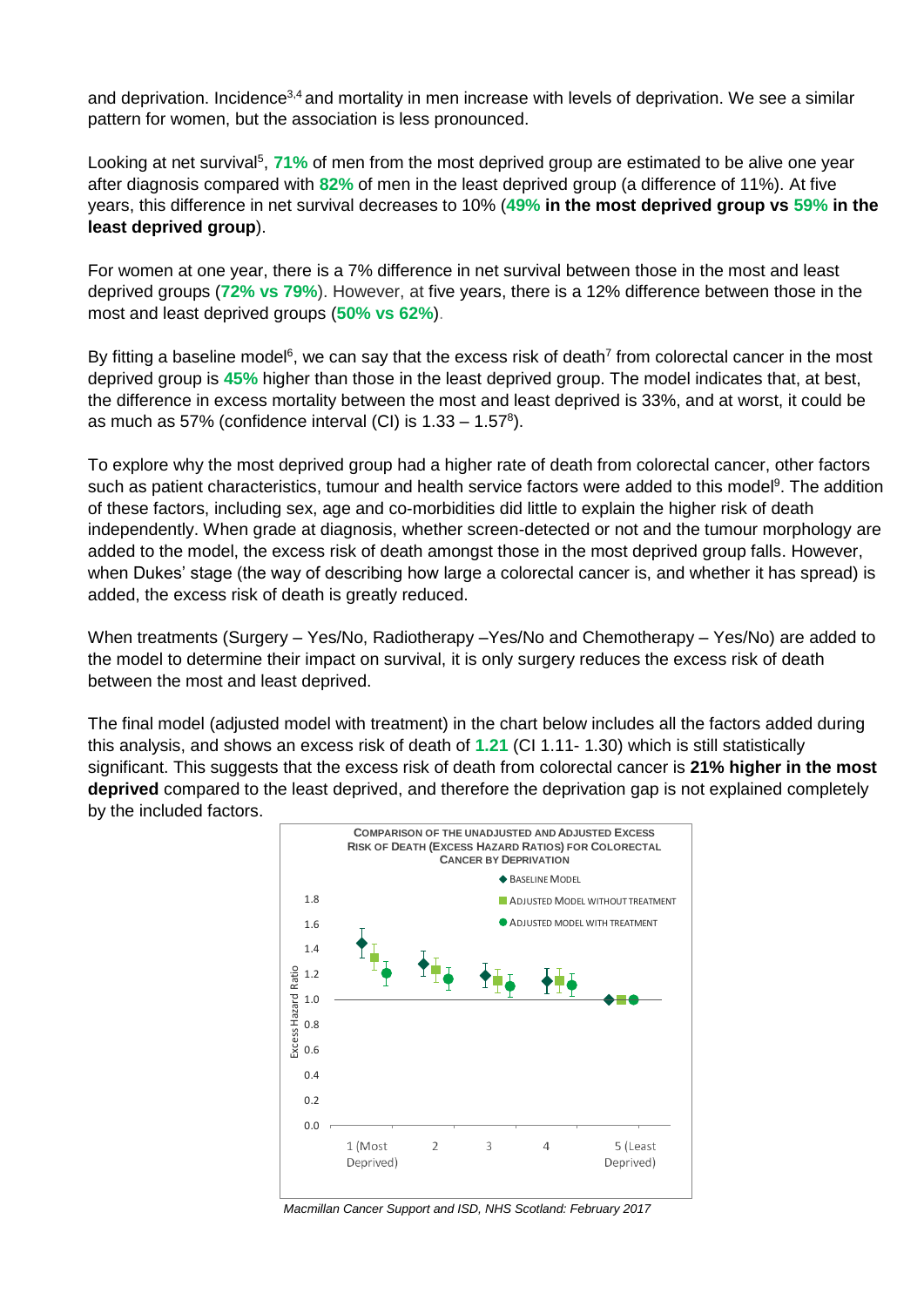and deprivation. Incidence<sup>3,4</sup> and mortality in men increase with levels of deprivation. We see a similar pattern for women, but the association is less pronounced.

Looking at net survival<sup>5</sup>, 71% of men from the most deprived group are estimated to be alive one year after diagnosis compared with **82%** of men in the least deprived group (a difference of 11%). At five years, this difference in net survival decreases to 10% (**49% in the most deprived group vs 59% in the least deprived group**).

For women at one year, there is a 7% difference in net survival between those in the most and least deprived groups (**72% vs 79%**). However, at five years, there is a 12% difference between those in the most and least deprived groups (**50% vs 62%**).

By fitting a baseline model<sup>6</sup>, we can say that the excess risk of death<sup>7</sup> from colorectal cancer in the most deprived group is **45%** higher than those in the least deprived group. The model indicates that, at best, the difference in excess mortality between the most and least deprived is 33%, and at worst, it could be as much as 57% (confidence interval (CI) is  $1.33 - 1.57^8$ ).

To explore why the most deprived group had a higher rate of death from colorectal cancer, other factors such as patient characteristics, tumour and health service factors were added to this model<sup>9</sup>. The addition of these factors, including sex, age and co-morbidities did little to explain the higher risk of death independently. When grade at diagnosis, whether screen-detected or not and the tumour morphology are added to the model, the excess risk of death amongst those in the most deprived group falls. However, when Dukes' stage (the way of describing how large a colorectal cancer is, and whether it has spread) is added, the excess risk of death is greatly reduced.

When treatments (Surgery – Yes/No, Radiotherapy –Yes/No and Chemotherapy – Yes/No) are added to the model to determine their impact on survival, it is only surgery reduces the excess risk of death between the most and least deprived.

The final model (adjusted model with treatment) in the chart below includes all the factors added during this analysis, and shows an excess risk of death of **1.21** (CI 1.11- 1.30) which is still statistically significant. This suggests that the excess risk of death from colorectal cancer is **21% higher in the most deprived** compared to the least deprived, and therefore the deprivation gap is not explained completely by the included factors.



*Macmillan Cancer Support and ISD, NHS Scotland: February 2017*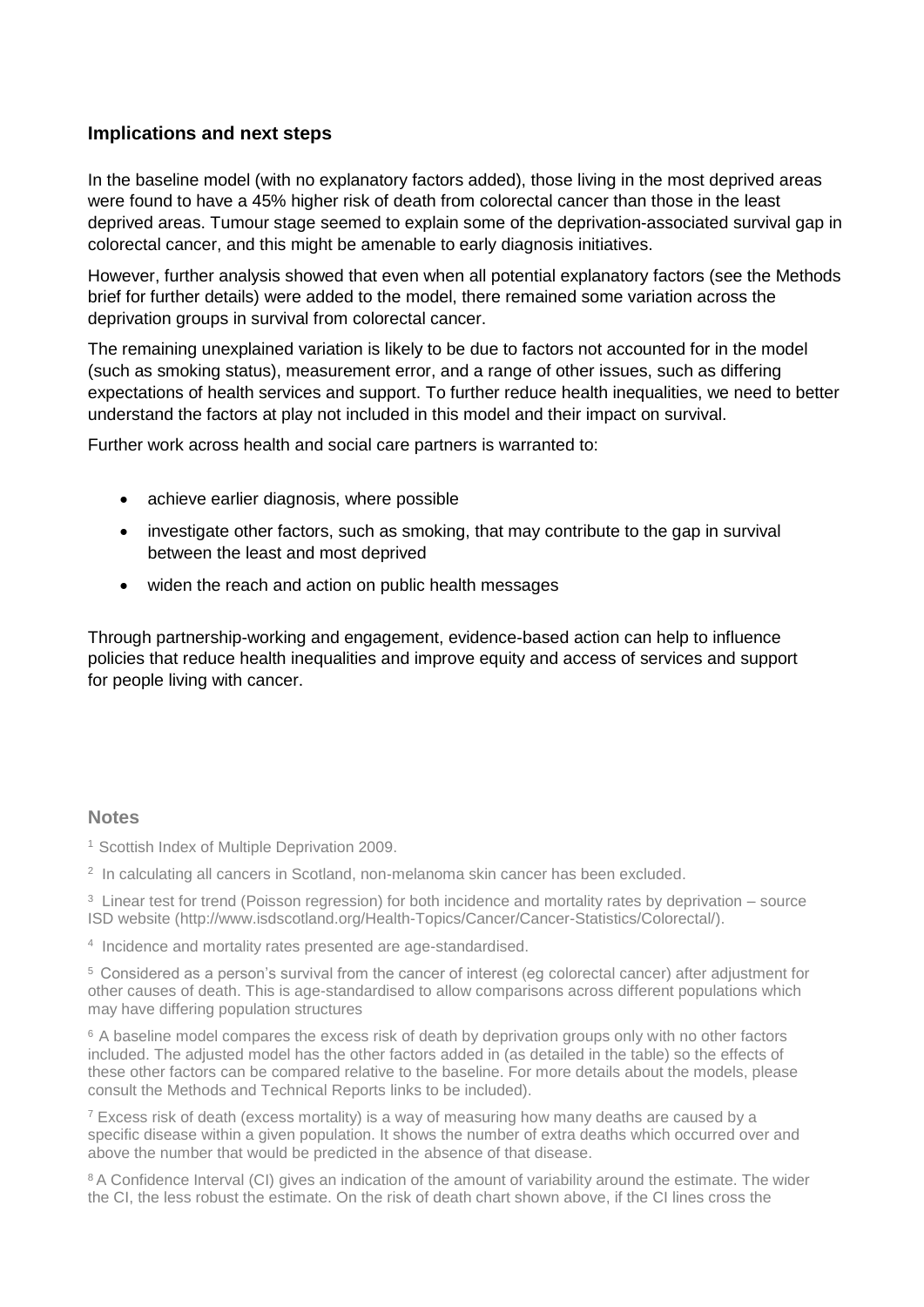#### **Implications and next steps**

In the baseline model (with no explanatory factors added), those living in the most deprived areas were found to have a 45% higher risk of death from colorectal cancer than those in the least deprived areas. Tumour stage seemed to explain some of the deprivation-associated survival gap in colorectal cancer, and this might be amenable to early diagnosis initiatives.

However, further analysis showed that even when all potential explanatory factors (see the Methods brief for further details) were added to the model, there remained some variation across the deprivation groups in survival from colorectal cancer.

The remaining unexplained variation is likely to be due to factors not accounted for in the model (such as smoking status), measurement error, and a range of other issues, such as differing expectations of health services and support. To further reduce health inequalities, we need to better understand the factors at play not included in this model and their impact on survival.

Further work across health and social care partners is warranted to:

- achieve earlier diagnosis, where possible
- investigate other factors, such as smoking, that may contribute to the gap in survival between the least and most deprived
- widen the reach and action on public health messages

Through partnership-working and engagement, evidence-based action can help to influence policies that reduce health inequalities and improve equity and access of services and support for people living with cancer.

#### **Notes**

<sup>1</sup> Scottish Index of Multiple Deprivation 2009.

2 In calculating all cancers in Scotland, non-melanoma skin cancer has been excluded.

<sup>3</sup> Linear test for trend (Poisson regression) for both incidence and mortality rates by deprivation – source ISD website (http://www.isdscotland.org/Health-Topics/Cancer/Cancer-Statistics/Colorectal/).

4 Incidence and mortality rates presented are age-standardised.

<sup>5</sup>Considered as a person's survival from the cancer of interest (eg colorectal cancer) after adjustment for other causes of death. This is age-standardised to allow comparisons across different populations which may have differing population structures

<sup>6</sup> A baseline model compares the excess risk of death by deprivation groups only with no other factors included. The adjusted model has the other factors added in (as detailed in the table) so the effects of these other factors can be compared relative to the baseline. For more details about the models, please consult the Methods and Technical Reports links to be included).

<sup>7</sup> Excess risk of death (excess mortality) is a way of measuring how many deaths are caused by a specific disease within a given population. It shows the number of extra deaths which occurred over and above the number that would be predicted in the absence of that disease.

<sup>8</sup> A Confidence Interval (CI) gives an indication of the amount of variability around the estimate. The wider the CI, the less robust the estimate. On the risk of death chart shown above, if the CI lines cross the